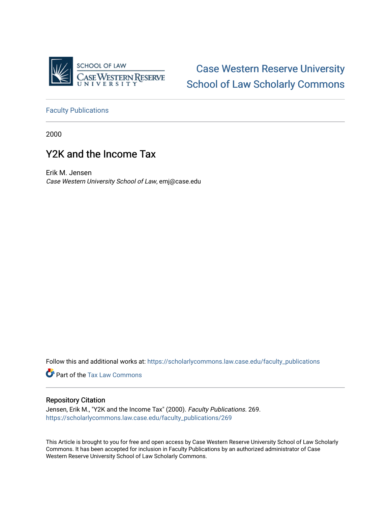

[Case Western Reserve University](https://scholarlycommons.law.case.edu/)  [School of Law Scholarly Commons](https://scholarlycommons.law.case.edu/) 

[Faculty Publications](https://scholarlycommons.law.case.edu/faculty_publications)

2000

## Y2K and the Income Tax

Erik M. Jensen Case Western University School of Law, emj@case.edu

Follow this and additional works at: [https://scholarlycommons.law.case.edu/faculty\\_publications](https://scholarlycommons.law.case.edu/faculty_publications?utm_source=scholarlycommons.law.case.edu%2Ffaculty_publications%2F269&utm_medium=PDF&utm_campaign=PDFCoverPages)

**Part of the [Tax Law Commons](http://network.bepress.com/hgg/discipline/898?utm_source=scholarlycommons.law.case.edu%2Ffaculty_publications%2F269&utm_medium=PDF&utm_campaign=PDFCoverPages)** 

#### Repository Citation

Jensen, Erik M., "Y2K and the Income Tax" (2000). Faculty Publications. 269. [https://scholarlycommons.law.case.edu/faculty\\_publications/269](https://scholarlycommons.law.case.edu/faculty_publications/269?utm_source=scholarlycommons.law.case.edu%2Ffaculty_publications%2F269&utm_medium=PDF&utm_campaign=PDFCoverPages)

This Article is brought to you for free and open access by Case Western Reserve University School of Law Scholarly Commons. It has been accepted for inclusion in Faculty Publications by an authorized administrator of Case Western Reserve University School of Law Scholarly Commons.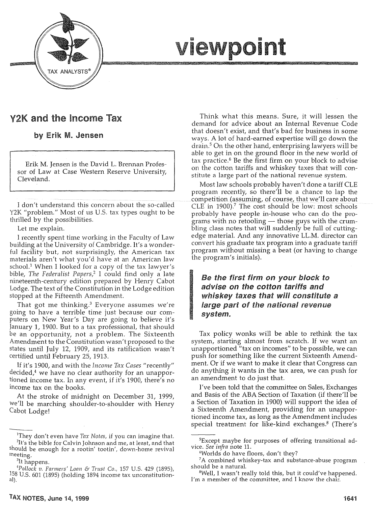

# viewpoint

## Y2K and the Income Tax

by Erik M. Jensen

Erik M. Jensen is the David L. Brennan Professor of Law at Case Western Reserve University, Cleveland.

I don't understand this concern about the so-called Y2K "problem." Most of us U.S. tax types ought to be thrilled by the possibilities.

Let me explain.

I recently spent time working in the Faculty of Law building at the University of Cambridge.lt's a wonderful facility but, not surprisingly, the American tax materials aren't what you'd have at an American law school.<sup>1</sup> When I looked for a copy of the tax lawyer's bible, *The Federalist Papers/* I could find only a late nineteenth-century edition prepared by Henry Cabot Lodge. The text of the Constitution in the Lodge edition stopped at the Fifteenth Amendment.

That got me thinking.3 Everyone assumes we're going to have a terrible time just because our computers on New Year's Day are going to believe it's January 1, 1900. But to a tax professional, that should be an opportunity, not a problem. The Sixteenth Amendment to the Constitution wasn't proposed to the states until July 12, 1909, and its ratification wasn't certified until February 25, 1913.

If it's 1900, and with the *Income Tax Cases* "recently" decided,4 we have no clear authority for an unapportioned income tax. In any event, if it's 1900, there's no income tax on the books.

At the stroke of midnight on December 31, 1999, we'll be marching shoulder-to-shoulder with Henry Cabot Lodge!

Think what this means. Sure, it will lessen the demand for advice about an Internal Revenue Code that doesn't exist, and that's bad for business in some ways. A lot of hard-earned expertise will go down the drain. 5 On the other hand, enterprising lawyers will be able to get in on the ground floor in the new world of tax practice.<sup>6</sup> Be the first firm on your block to advise on the cotton tariffs and whiskey taxes that will constitute a large part of the national revenue system.

Most law schools probably haven't done a tariff CLE program recently, so there'll be a chance to lap the competition (assuming, of course, that we'll care about CLE in 1900).<sup>7</sup> The cost should be low: most schools probably have people in-house who can do the programs with no retooling  $-$  those guys with the crumbling class notes that will suddenly be full of cuttingedge material. And any innovative LL.M. director can convert his graduate tax program into a graduate tariff program without missing a beat (or having to change the program's initials).

### Be the first firm on your block to advise on the cotton tariffs and whiskey taxes that *will* constitute a large part of the national revenue system.

Tax policy wonks will be able to rethink the tax system, starting almost from scratch. If we want an unapportioned "tax on incomes" to be possible, we can push for something like the current Sixteenth Amendment. Or if we want to make it clear that Congress can do anything it wants in the tax area, we can push for an amendment to do just that.

I've been told that the committee on Sales, Exchanges and Basis of the ABA Section of Taxation (if there'll be a Section of Taxation in 1900) will support the idea of a Sixteenth Amendment, providing for an unapportioned income tax, as long as the Amendment includes special treatment for like-kind exchanges.<sup>8</sup> (There's

<sup>&</sup>lt;sup>1</sup>They don't even have *Tax Notes,* if you can imagine that.<br><sup>2</sup>It's the bible for Calvin Johnson and me, at least and that <sup>2</sup>It's the bible for Calvin Johnson and me, at least, and that should be enough for a rootin' tootin', down-home revival meeting. 3

<sup>&</sup>lt;sup>3</sup>It happens.

*Pol/ock v. Farmers' Loan* & *Tntst* Co., 157 U.S. 429 (1895), 158 U.S. 601 (1895) (holding 1894 income tax unconstitutional).

<sup>5</sup> Except maybe for purposes of offering transitional ad-

vice. *See infra* note 11.<br><sup>6</sup>Worlds do have floors, don't they?

 ${}^7A$  combined whiskey-tax and substance-abuse program should be a natural.

Well, I wasn't really told this, but it could've happened. I'm a member of the committee, and I know the chair.